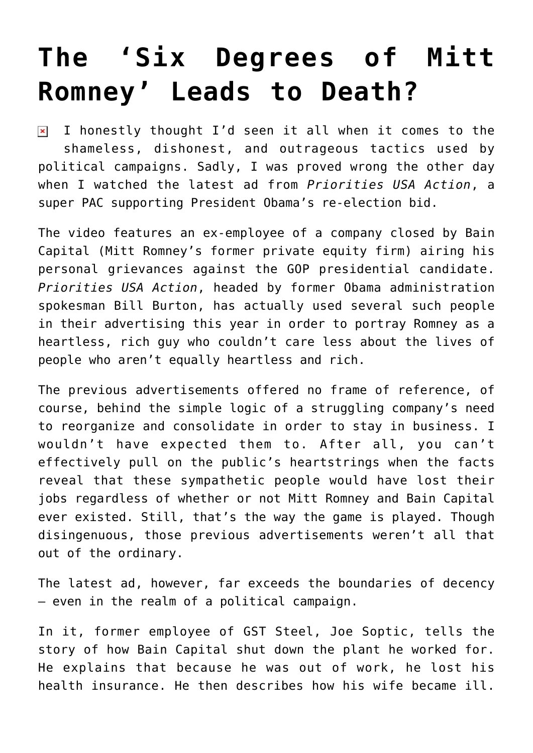## **[The 'Six Degrees of Mitt](https://bernardgoldberg.com/the-six-degrees-of-mitt-romney-leads-to-death/) [Romney' Leads to Death?](https://bernardgoldberg.com/the-six-degrees-of-mitt-romney-leads-to-death/)**

I honestly thought I'd seen it all when it comes to the  $\pmb{\times}$ shameless, dishonest, and outrageous tactics used by political campaigns. Sadly, I was proved wrong the other day when I watched the latest ad from *Priorities USA Action*, a super PAC supporting President Obama's re-election bid.

The [video](http://www.youtube.com/watch?v=Nj70XqOxptU) features an ex-employee of a company closed by Bain Capital (Mitt Romney's former private equity firm) airing his personal grievances against the GOP presidential candidate. *Priorities USA Action*, headed by former Obama administration spokesman Bill Burton, has actually used several such people in their advertising this year in order to portray Romney as a heartless, rich guy who couldn't care less about the lives of people who aren't equally heartless and rich.

The previous advertisements offered no frame of reference, of course, behind the simple logic of a struggling company's need to reorganize and consolidate in order to stay in business. I wouldn't have expected them to. After all, you can't effectively pull on the public's heartstrings when the facts reveal that these sympathetic people would have lost their jobs regardless of whether or not Mitt Romney and Bain Capital ever existed. Still, that's the way the game is played. Though disingenuous, those previous advertisements weren't all that out of the ordinary.

The latest ad, however, far exceeds the boundaries of decency – even in the realm of a political campaign.

In it, former employee of GST Steel, Joe Soptic, tells the story of how Bain Capital shut down the plant he worked for. He explains that because he was out of work, he lost his health insurance. He then describes how his wife became ill.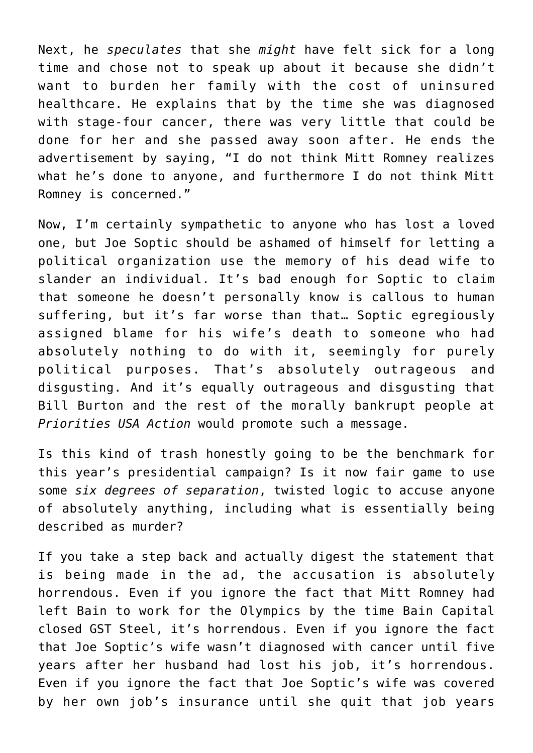Next, he *speculates* that she *might* have felt sick for a long time and chose not to speak up about it because she didn't want to burden her family with the cost of uninsured healthcare. He explains that by the time she was diagnosed with stage-four cancer, there was very little that could be done for her and she passed away soon after. He ends the advertisement by saying, "I do not think Mitt Romney realizes what he's done to anyone, and furthermore I do not think Mitt Romney is concerned."

Now, I'm certainly sympathetic to anyone who has lost a loved one, but Joe Soptic should be ashamed of himself for letting a political organization use the memory of his dead wife to slander an individual. It's bad enough for Soptic to claim that someone he doesn't personally know is callous to human suffering, but it's far worse than that… Soptic egregiously assigned blame for his wife's death to someone who had absolutely nothing to do with it, seemingly for purely political purposes. That's absolutely outrageous and disgusting. And it's equally outrageous and disgusting that Bill Burton and the rest of the morally bankrupt people at *Priorities USA Action* would promote such a message.

Is this kind of trash honestly going to be the benchmark for this year's presidential campaign? Is it now fair game to use some *six degrees of separation*, twisted logic to accuse anyone of absolutely anything, including what is essentially being described as murder?

If you take a step back and actually digest the statement that is being made in the ad, the accusation is absolutely horrendous. Even if you ignore the fact that Mitt Romney had left Bain to work for the Olympics by the time Bain Capital closed GST Steel, it's horrendous. Even if you ignore the fact that Joe Soptic's wife wasn't diagnosed with cancer until five years after her husband had lost his job, it's horrendous. Even if you ignore the fact that Joe Soptic's wife was covered by her own job's insurance until she quit that job years